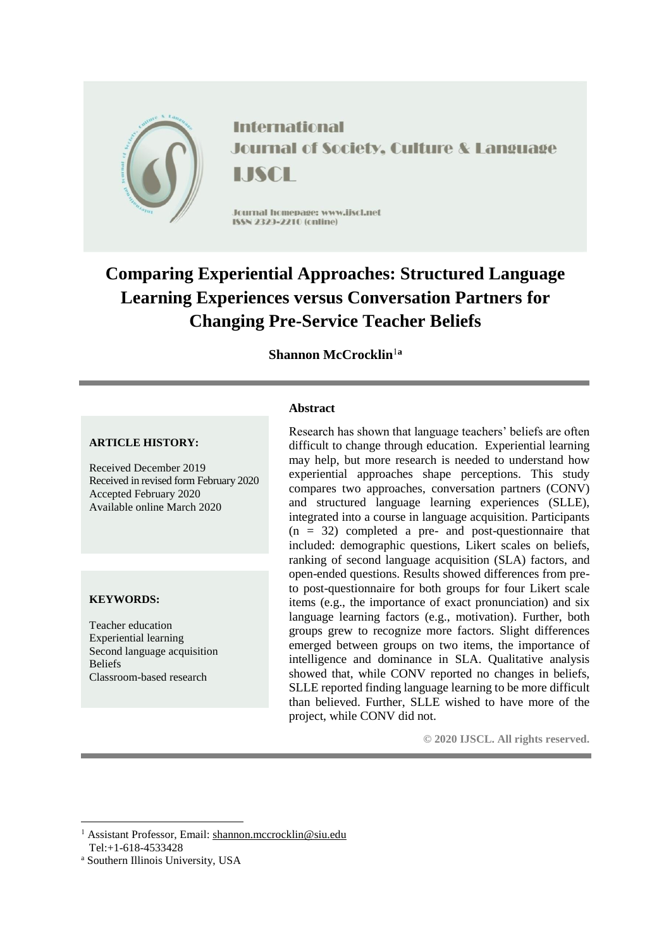

**International Journal of Society, Culture & Language** LISCH

Journal homepage: www.jiscl.net ISSN 2329-2210 (cnline)

# **Comparing Experiential Approaches: Structured Language Learning Experiences versus Conversation Partners for Changing Pre-Service Teacher Beliefs**

## **Shannon McCrocklin**<sup>1</sup>**<sup>a</sup>**

#### **ARTICLE HISTORY:**

Received December 2019 Received in revised form February 2020 Accepted February 2020 Available online March 2020

#### **KEYWORDS:**

Teacher education Experiential learning Second language acquisition Beliefs Classroom-based research

#### **Abstract**

Research has shown that language teachers' beliefs are often difficult to change through education. Experiential learning may help, but more research is needed to understand how experiential approaches shape perceptions. This study compares two approaches, conversation partners (CONV) and structured language learning experiences (SLLE), integrated into a course in language acquisition. Participants  $(n = 32)$  completed a pre- and post-questionnaire that included: demographic questions, Likert scales on beliefs, ranking of second language acquisition (SLA) factors, and open-ended questions. Results showed differences from preto post-questionnaire for both groups for four Likert scale items (e.g., the importance of exact pronunciation) and six language learning factors (e.g., motivation). Further, both groups grew to recognize more factors. Slight differences emerged between groups on two items, the importance of intelligence and dominance in SLA. Qualitative analysis showed that, while CONV reported no changes in beliefs, SLLE reported finding language learning to be more difficult than believed. Further, SLLE wished to have more of the project, while CONV did not.

**© 2020 IJSCL. All rights reserved.**

 $\overline{a}$ <sup>1</sup> Assistant Professor, Email: [shannon.mccrocklin@siu.edu](mailto:shannon.mccrocklin@siu.edu) Tel:+1-618-4533428

<sup>a</sup> Southern Illinois University, USA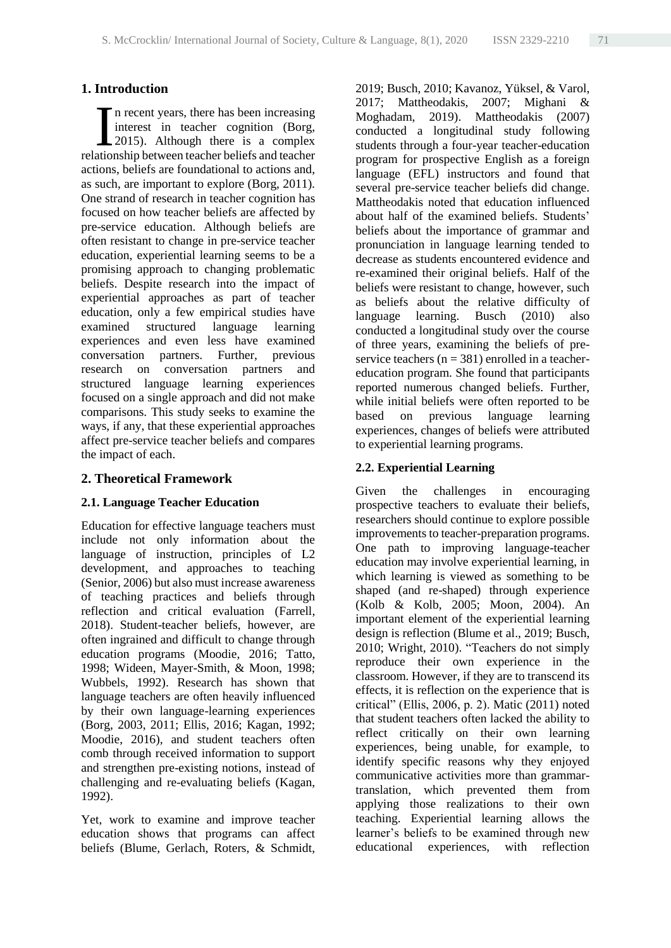## **1. Introduction**

n recent years, there has been increasing interest in teacher cognition (Borg, 2015). Although there is a complex In recent years, there has been increasing<br>interest in teacher cognition (Borg,<br>2015). Although there is a complex<br>relationship between teacher beliefs and teacher actions, beliefs are foundational to actions and, as such, are important to explore (Borg, 2011). One strand of research in teacher cognition has focused on how teacher beliefs are affected by pre-service education. Although beliefs are often resistant to change in pre-service teacher education, experiential learning seems to be a promising approach to changing problematic beliefs. Despite research into the impact of experiential approaches as part of teacher education, only a few empirical studies have examined structured language learning experiences and even less have examined conversation partners. Further, previous research on conversation partners and structured language learning experiences focused on a single approach and did not make comparisons. This study seeks to examine the ways, if any, that these experiential approaches affect pre-service teacher beliefs and compares the impact of each.

### **2. Theoretical Framework**

## **2.1. Language Teacher Education**

Education for effective language teachers must include not only information about the language of instruction, principles of L2 development, and approaches to teaching (Senior, 2006) but also must increase awareness of teaching practices and beliefs through reflection and critical evaluation (Farrell, 2018). Student-teacher beliefs, however, are often ingrained and difficult to change through education programs (Moodie, 2016; Tatto, 1998; Wideen, Mayer-Smith, & Moon, 1998; Wubbels, 1992). Research has shown that language teachers are often heavily influenced by their own language-learning experiences (Borg, 2003, 2011; Ellis, 2016; Kagan, 1992; Moodie, 2016), and student teachers often comb through received information to support and strengthen pre-existing notions, instead of challenging and re-evaluating beliefs (Kagan, 1992).

Yet, work to examine and improve teacher education shows that programs can affect beliefs (Blume, Gerlach, Roters, & Schmidt, 2019; Busch, 2010; Kavanoz, Yüksel, & Varol, 2017; Mattheodakis, 2007; Mighani & Moghadam, 2019). Mattheodakis (2007) conducted a longitudinal study following students through a four-year teacher-education program for prospective English as a foreign language (EFL) instructors and found that several pre-service teacher beliefs did change. Mattheodakis noted that education influenced about half of the examined beliefs. Students' beliefs about the importance of grammar and pronunciation in language learning tended to decrease as students encountered evidence and re-examined their original beliefs. Half of the beliefs were resistant to change, however, such as beliefs about the relative difficulty of language learning. Busch (2010) also conducted a longitudinal study over the course of three years, examining the beliefs of preservice teachers ( $n = 381$ ) enrolled in a teachereducation program. She found that participants reported numerous changed beliefs. Further, while initial beliefs were often reported to be based on previous language learning experiences, changes of beliefs were attributed to experiential learning programs.

### **2.2. Experiential Learning**

Given the challenges in encouraging prospective teachers to evaluate their beliefs, researchers should continue to explore possible improvements to teacher-preparation programs. One path to improving language-teacher education may involve experiential learning, in which learning is viewed as something to be shaped (and re-shaped) through experience (Kolb & Kolb, 2005; Moon, 2004). An important element of the experiential learning design is reflection (Blume et al., 2019; Busch, 2010; Wright, 2010). "Teachers do not simply reproduce their own experience in the classroom. However, if they are to transcend its effects, it is reflection on the experience that is critical" (Ellis, 2006, p. 2). Matic (2011) noted that student teachers often lacked the ability to reflect critically on their own learning experiences, being unable, for example, to identify specific reasons why they enjoyed communicative activities more than grammartranslation, which prevented them from applying those realizations to their own teaching. Experiential learning allows the learner's beliefs to be examined through new educational experiences, with reflection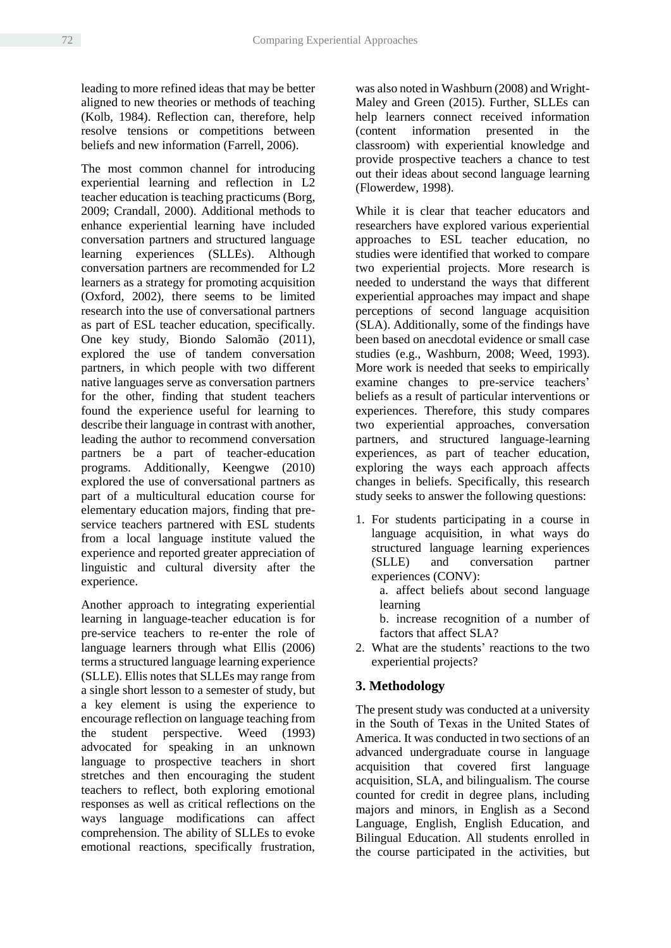leading to more refined ideas that may be better aligned to new theories or methods of teaching (Kolb, 1984). Reflection can, therefore, help resolve tensions or competitions between beliefs and new information (Farrell, 2006).

The most common channel for introducing experiential learning and reflection in L2 teacher education is teaching practicums (Borg, 2009; Crandall, 2000). Additional methods to enhance experiential learning have included conversation partners and structured language learning experiences (SLLEs). Although conversation partners are recommended for L2 learners as a strategy for promoting acquisition (Oxford, 2002), there seems to be limited research into the use of conversational partners as part of ESL teacher education, specifically. One key study, Biondo Salomão (2011), explored the use of tandem conversation partners, in which people with two different native languages serve as conversation partners for the other, finding that student teachers found the experience useful for learning to describe their language in contrast with another, leading the author to recommend conversation partners be a part of teacher-education programs. Additionally, Keengwe (2010) explored the use of conversational partners as part of a multicultural education course for elementary education majors, finding that preservice teachers partnered with ESL students from a local language institute valued the experience and reported greater appreciation of linguistic and cultural diversity after the experience.

Another approach to integrating experiential learning in language-teacher education is for pre-service teachers to re-enter the role of language learners through what Ellis (2006) terms a structured language learning experience (SLLE). Ellis notes that SLLEs may range from a single short lesson to a semester of study, but a key element is using the experience to encourage reflection on language teaching from the student perspective. Weed (1993) advocated for speaking in an unknown language to prospective teachers in short stretches and then encouraging the student teachers to reflect, both exploring emotional responses as well as critical reflections on the ways language modifications can affect comprehension. The ability of SLLEs to evoke emotional reactions, specifically frustration,

was also noted in Washburn (2008) and Wright-Maley and Green (2015). Further, SLLEs can help learners connect received information (content information presented in the classroom) with experiential knowledge and provide prospective teachers a chance to test out their ideas about second language learning (Flowerdew, 1998).

While it is clear that teacher educators and researchers have explored various experiential approaches to ESL teacher education, no studies were identified that worked to compare two experiential projects. More research is needed to understand the ways that different experiential approaches may impact and shape perceptions of second language acquisition (SLA). Additionally, some of the findings have been based on anecdotal evidence or small case studies (e.g., Washburn, 2008; Weed, 1993). More work is needed that seeks to empirically examine changes to pre-service teachers' beliefs as a result of particular interventions or experiences. Therefore, this study compares two experiential approaches, conversation partners, and structured language-learning experiences, as part of teacher education, exploring the ways each approach affects changes in beliefs. Specifically, this research study seeks to answer the following questions:

1. For students participating in a course in language acquisition, in what ways do structured language learning experiences (SLLE) and conversation partner experiences (CONV):

a. affect beliefs about second language learning

b. increase recognition of a number of factors that affect SLA?

2. What are the students' reactions to the two experiential projects?

# **3. Methodology**

The present study was conducted at a university in the South of Texas in the United States of America. It was conducted in two sections of an advanced undergraduate course in language acquisition that covered first language acquisition, SLA, and bilingualism. The course counted for credit in degree plans, including majors and minors, in English as a Second Language, English, English Education, and Bilingual Education. All students enrolled in the course participated in the activities, but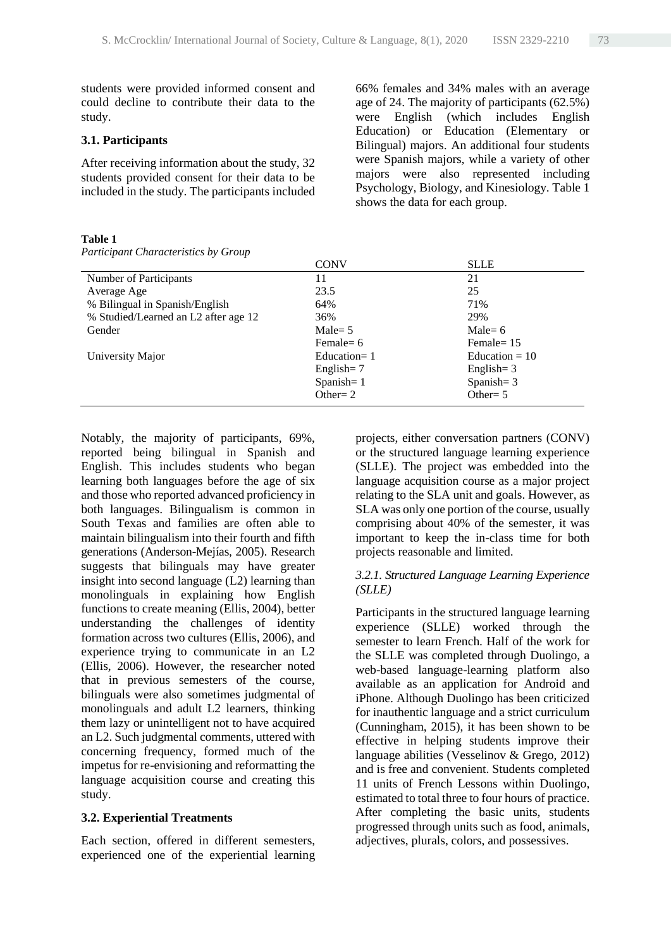students were provided informed consent and could decline to contribute their data to the study.

#### **3.1. Participants**

After receiving information about the study, 32 students provided consent for their data to be included in the study. The participants included 66% females and 34% males with an average age of 24. The majority of participants (62.5%) were English (which includes English Education) or Education (Elementary or Bilingual) majors. An additional four students were Spanish majors, while a variety of other majors were also represented including Psychology, Biology, and Kinesiology. Table 1 shows the data for each group.

#### **Table 1**

|  | Participant Characteristics by Group |  |  |
|--|--------------------------------------|--|--|
|--|--------------------------------------|--|--|

|                                      | <b>CONV</b>             | <b>SLLE</b>      |
|--------------------------------------|-------------------------|------------------|
| Number of Participants               | 11                      | 21               |
| Average Age                          | 23.5                    | 25               |
| % Bilingual in Spanish/English       | 64%                     | 71%              |
| % Studied/Learned an L2 after age 12 | 36%                     | 29%              |
| Gender                               | $Male = 5$              | Male= $6$        |
|                                      | Female = $6$            | Female $= 15$    |
| University Major                     | Education= $1$          | Education = $10$ |
|                                      | English = $7$           | English = $3$    |
|                                      | Spanish $= 1$           | Spanish $=$ 3    |
|                                      | Other= $2 \overline{ }$ | Other= $5$       |

Notably, the majority of participants, 69%, reported being bilingual in Spanish and English. This includes students who began learning both languages before the age of six and those who reported advanced proficiency in both languages. Bilingualism is common in South Texas and families are often able to maintain bilingualism into their fourth and fifth generations (Anderson-Mejías, 2005). Research suggests that bilinguals may have greater insight into second language (L2) learning than monolinguals in explaining how English functions to create meaning (Ellis, 2004), better understanding the challenges of identity formation across two cultures (Ellis, 2006), and experience trying to communicate in an L2 (Ellis, 2006). However, the researcher noted that in previous semesters of the course, bilinguals were also sometimes judgmental of monolinguals and adult L2 learners, thinking them lazy or unintelligent not to have acquired an L2. Such judgmental comments, uttered with concerning frequency, formed much of the impetus for re-envisioning and reformatting the language acquisition course and creating this study.

#### **3.2. Experiential Treatments**

Each section, offered in different semesters, experienced one of the experiential learning projects, either conversation partners (CONV) or the structured language learning experience (SLLE). The project was embedded into the language acquisition course as a major project relating to the SLA unit and goals. However, as SLA was only one portion of the course, usually comprising about 40% of the semester, it was important to keep the in-class time for both projects reasonable and limited.

#### *3.2.1. Structured Language Learning Experience (SLLE)*

Participants in the structured language learning experience (SLLE) worked through the semester to learn French. Half of the work for the SLLE was completed through Duolingo, a web-based language-learning platform also available as an application for Android and iPhone. Although Duolingo has been criticized for inauthentic language and a strict curriculum (Cunningham, 2015), it has been shown to be effective in helping students improve their language abilities (Vesselinov & Grego, 2012) and is free and convenient. Students completed 11 units of French Lessons within Duolingo, estimated to total three to four hours of practice. After completing the basic units, students progressed through units such as food, animals, adjectives, plurals, colors, and possessives.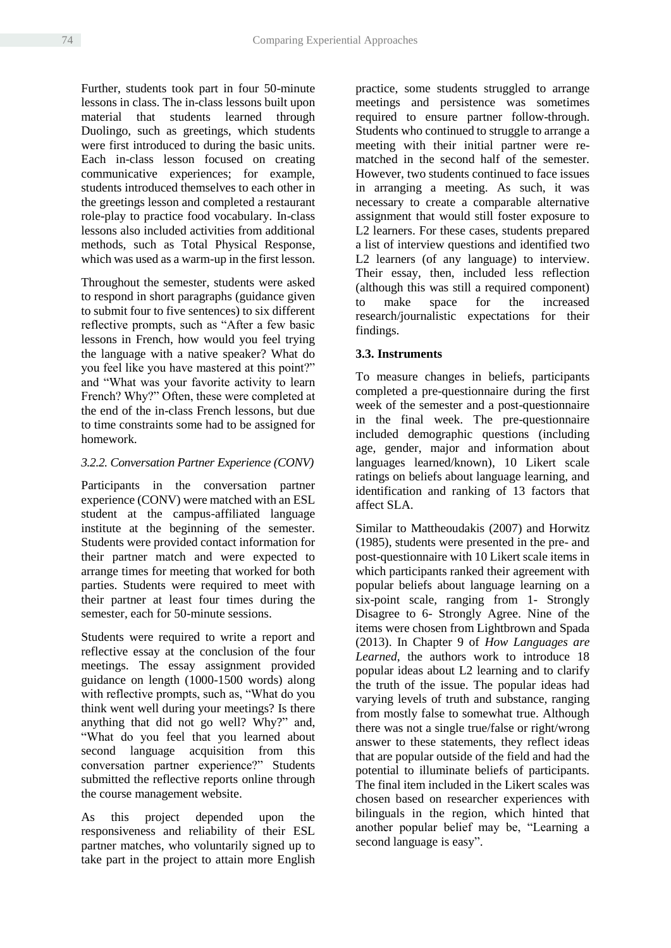Further, students took part in four 50-minute lessons in class. The in-class lessons built upon material that students learned through Duolingo, such as greetings, which students were first introduced to during the basic units. Each in-class lesson focused on creating communicative experiences; for example, students introduced themselves to each other in the greetings lesson and completed a restaurant role-play to practice food vocabulary. In-class lessons also included activities from additional methods, such as Total Physical Response, which was used as a warm-up in the first lesson.

Throughout the semester, students were asked to respond in short paragraphs (guidance given to submit four to five sentences) to six different reflective prompts, such as "After a few basic lessons in French, how would you feel trying the language with a native speaker? What do you feel like you have mastered at this point?" and "What was your favorite activity to learn French? Why?" Often, these were completed at the end of the in-class French lessons, but due to time constraints some had to be assigned for homework.

## *3.2.2. Conversation Partner Experience (CONV)*

Participants in the conversation partner experience (CONV) were matched with an ESL student at the campus-affiliated language institute at the beginning of the semester. Students were provided contact information for their partner match and were expected to arrange times for meeting that worked for both parties. Students were required to meet with their partner at least four times during the semester, each for 50-minute sessions.

Students were required to write a report and reflective essay at the conclusion of the four meetings. The essay assignment provided guidance on length (1000-1500 words) along with reflective prompts, such as, "What do you think went well during your meetings? Is there anything that did not go well? Why?" and, "What do you feel that you learned about second language acquisition from this conversation partner experience?" Students submitted the reflective reports online through the course management website.

As this project depended upon the responsiveness and reliability of their ESL partner matches, who voluntarily signed up to take part in the project to attain more English practice, some students struggled to arrange meetings and persistence was sometimes required to ensure partner follow-through. Students who continued to struggle to arrange a meeting with their initial partner were rematched in the second half of the semester. However, two students continued to face issues in arranging a meeting. As such, it was necessary to create a comparable alternative assignment that would still foster exposure to L2 learners. For these cases, students prepared a list of interview questions and identified two L2 learners (of any language) to interview. Their essay, then, included less reflection (although this was still a required component) to make space for the increased research/journalistic expectations for their findings.

# **3.3. Instruments**

To measure changes in beliefs, participants completed a pre-questionnaire during the first week of the semester and a post-questionnaire in the final week. The pre-questionnaire included demographic questions (including age, gender, major and information about languages learned/known), 10 Likert scale ratings on beliefs about language learning, and identification and ranking of 13 factors that affect SLA.

Similar to Mattheoudakis (2007) and Horwitz (1985), students were presented in the pre- and post-questionnaire with 10 Likert scale items in which participants ranked their agreement with popular beliefs about language learning on a six-point scale, ranging from 1- Strongly Disagree to 6- Strongly Agree. Nine of the items were chosen from Lightbrown and Spada (2013). In Chapter 9 of *How Languages are Learned*, the authors work to introduce 18 popular ideas about L2 learning and to clarify the truth of the issue. The popular ideas had varying levels of truth and substance, ranging from mostly false to somewhat true. Although there was not a single true/false or right/wrong answer to these statements, they reflect ideas that are popular outside of the field and had the potential to illuminate beliefs of participants. The final item included in the Likert scales was chosen based on researcher experiences with bilinguals in the region, which hinted that another popular belief may be, "Learning a second language is easy".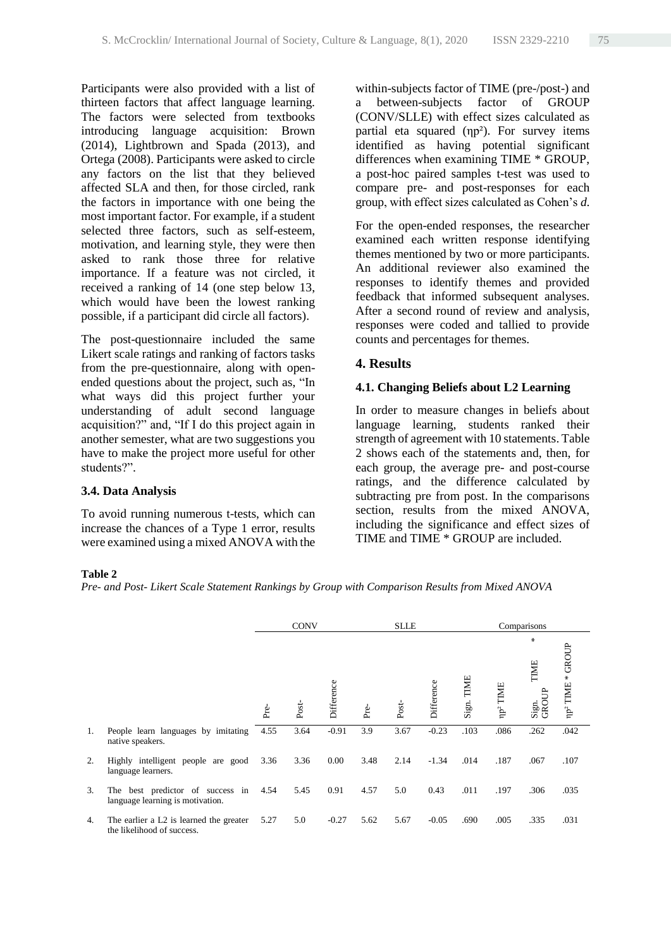Participants were also provided with a list of thirteen factors that affect language learning. The factors were selected from textbooks introducing language acquisition: Brown (2014), Lightbrown and Spada (2013), and Ortega (2008). Participants were asked to circle any factors on the list that they believed affected SLA and then, for those circled, rank the factors in importance with one being the most important factor. For example, if a student selected three factors, such as self-esteem, motivation, and learning style, they were then asked to rank those three for relative importance. If a feature was not circled, it received a ranking of 14 (one step below 13, which would have been the lowest ranking possible, if a participant did circle all factors).

The post-questionnaire included the same Likert scale ratings and ranking of factors tasks from the pre-questionnaire, along with openended questions about the project, such as, "In what ways did this project further your understanding of adult second language acquisition?" and, "If I do this project again in another semester, what are two suggestions you have to make the project more useful for other students?".

#### **3.4. Data Analysis**

To avoid running numerous t-tests, which can increase the chances of a Type 1 error, results were examined using a mixed ANOVA with the within-subjects factor of TIME (pre-/post-) and a between-subjects factor of GROUP (CONV/SLLE) with effect sizes calculated as partial eta squared (ηp<sup>2</sup>). For survey items identified as having potential significant differences when examining TIME \* GROUP, a post-hoc paired samples t-test was used to compare pre- and post-responses for each group, with effect sizes calculated as Cohen's *d*.

For the open-ended responses, the researcher examined each written response identifying themes mentioned by two or more participants. An additional reviewer also examined the responses to identify themes and provided feedback that informed subsequent analyses. After a second round of review and analysis, responses were coded and tallied to provide counts and percentages for themes.

## **4. Results**

#### **4.1. Changing Beliefs about L2 Learning**

In order to measure changes in beliefs about language learning, students ranked their strength of agreement with 10 statements. Table 2 shows each of the statements and, then, for each group, the average pre- and post-course ratings, and the difference calculated by subtracting pre from post. In the comparisons section, results from the mixed ANOVA, including the significance and effect sizes of TIME and TIME \* GROUP are included.

#### **Table 2**

*Pre- and Post- Likert Scale Statement Rankings by Group with Comparison Results from Mixed ANOVA*

|    |                                                                       | <b>CONV</b> |              |            | <b>SLLE</b> |               |            | Comparisons |                      |                                   |                              |
|----|-----------------------------------------------------------------------|-------------|--------------|------------|-------------|---------------|------------|-------------|----------------------|-----------------------------------|------------------------------|
|    |                                                                       | Pre-        | $\rm Post$ - | Difference | Pre-        | $_{\rm Post}$ | Difference | Sign. TIME  | np <sup>2</sup> TIME | ⋇<br>TIME<br><b>GROU</b><br>Sign. | np <sup>2</sup> TIME * GROUP |
| 1. | People learn languages by imitating<br>native speakers.               | 4.55        | 3.64         | $-0.91$    | 3.9         | 3.67          | $-0.23$    | .103        | .086                 | .262                              | .042                         |
| 2. | Highly intelligent people are good<br>language learners.              | 3.36        | 3.36         | 0.00       | 3.48        | 2.14          | $-1.34$    | .014        | .187                 | .067                              | .107                         |
| 3. | The best predictor of success in<br>language learning is motivation.  | 4.54        | 5.45         | 0.91       | 4.57        | 5.0           | 0.43       | .011        | .197                 | .306                              | .035                         |
| 4. | The earlier a L2 is learned the greater<br>the likelihood of success. | 5.27        | 5.0          | $-0.27$    | 5.62        | 5.67          | $-0.05$    | .690        | .005                 | .335                              | .031                         |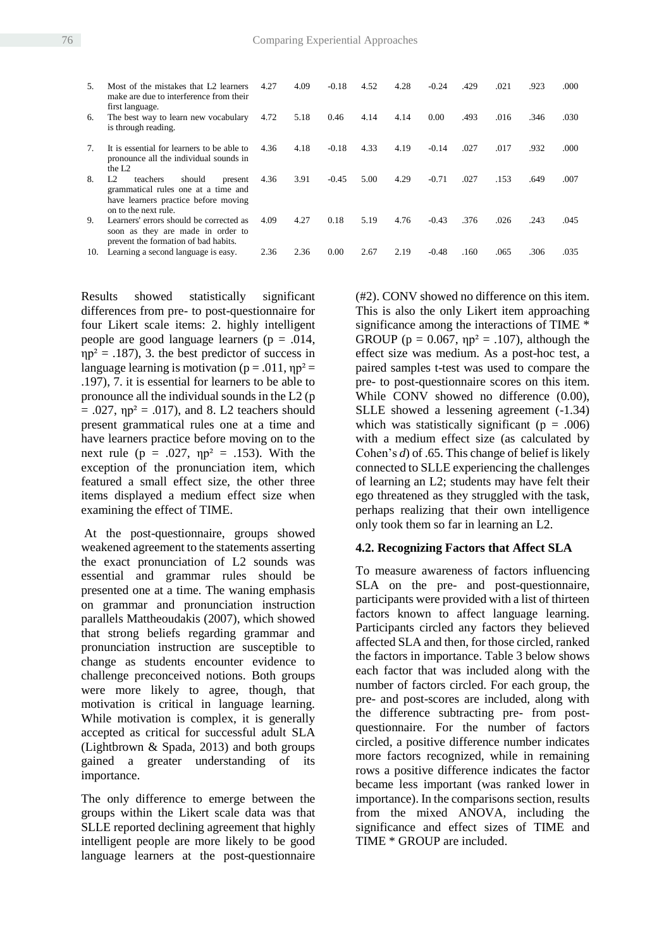| .5             | Most of the mistakes that L2 learners<br>make are due to interference from their<br>first language.                                        | 4.27 | 4.09 | $-0.18$ | 4.52 | 4.28 | $-0.24$ | .429 | .021 | .923 | .000 |
|----------------|--------------------------------------------------------------------------------------------------------------------------------------------|------|------|---------|------|------|---------|------|------|------|------|
| 6.             | The best way to learn new vocabulary<br>is through reading.                                                                                | 4.72 | 5.18 | 0.46    | 4.14 | 4.14 | 0.00    | .493 | .016 | .346 | .030 |
| 7 <sup>1</sup> | It is essential for learners to be able to<br>pronounce all the individual sounds in<br>the $L2$                                           | 4.36 | 4.18 | $-0.18$ | 4.33 | 4.19 | $-0.14$ | .027 | .017 | .932 | .000 |
| 8.             | L2<br>teachers<br>should<br>present<br>grammatical rules one at a time and<br>have learners practice before moving<br>on to the next rule. | 4.36 | 3.91 | $-0.45$ | 5.00 | 4.29 | $-0.71$ | .027 | .153 | .649 | .007 |
| 9.             | Learners' errors should be corrected as<br>soon as they are made in order to<br>prevent the formation of bad habits.                       | 4.09 | 4.27 | 0.18    | 5.19 | 4.76 | $-0.43$ | .376 | .026 | .243 | .045 |
| 10.            | Learning a second language is easy.                                                                                                        | 2.36 | 2.36 | 0.00    | 2.67 | 2.19 | $-0.48$ | .160 | .065 | .306 | .035 |

Results showed statistically significant differences from pre- to post-questionnaire for four Likert scale items: 2. highly intelligent people are good language learners ( $p = .014$ ,  $np^2 = .187$ ), 3, the best predictor of success in language learning is motivation ( $p = .011$ ,  $np^2 =$ .197), 7. it is essential for learners to be able to pronounce all the individual sounds in the L2 (p  $= .027$ ,  $np^2 = .017$ ), and 8. L2 teachers should present grammatical rules one at a time and have learners practice before moving on to the next rule ( $p = .027$ ,  $np^2 = .153$ ). With the exception of the pronunciation item, which featured a small effect size, the other three items displayed a medium effect size when examining the effect of TIME.

At the post-questionnaire, groups showed weakened agreement to the statements asserting the exact pronunciation of L2 sounds was essential and grammar rules should be presented one at a time. The waning emphasis on grammar and pronunciation instruction parallels Mattheoudakis (2007), which showed that strong beliefs regarding grammar and pronunciation instruction are susceptible to change as students encounter evidence to challenge preconceived notions. Both groups were more likely to agree, though, that motivation is critical in language learning. While motivation is complex, it is generally accepted as critical for successful adult SLA (Lightbrown & Spada, 2013) and both groups gained a greater understanding of its importance.

The only difference to emerge between the groups within the Likert scale data was that SLLE reported declining agreement that highly intelligent people are more likely to be good language learners at the post-questionnaire

(#2). CONV showed no difference on this item. This is also the only Likert item approaching significance among the interactions of TIME \* GROUP ( $p = 0.067$ ,  $np^2 = .107$ ), although the effect size was medium. As a post-hoc test, a paired samples t-test was used to compare the pre- to post-questionnaire scores on this item. While CONV showed no difference  $(0.00)$ , SLLE showed a lessening agreement (-1.34) which was statistically significant ( $p = .006$ ) with a medium effect size (as calculated by Cohen's  $d$ ) of .65. This change of belief is likely connected to SLLE experiencing the challenges of learning an L2; students may have felt their ego threatened as they struggled with the task, perhaps realizing that their own intelligence only took them so far in learning an L2.

#### **4.2. Recognizing Factors that Affect SLA**

To measure awareness of factors influencing SLA on the pre- and post-questionnaire, participants were provided with a list of thirteen factors known to affect language learning. Participants circled any factors they believed affected SLA and then, for those circled, ranked the factors in importance. Table 3 below shows each factor that was included along with the number of factors circled. For each group, the pre- and post-scores are included, along with the difference subtracting pre- from postquestionnaire. For the number of factors circled, a positive difference number indicates more factors recognized, while in remaining rows a positive difference indicates the factor became less important (was ranked lower in importance). In the comparisons section, results from the mixed ANOVA, including the significance and effect sizes of TIME and TIME \* GROUP are included.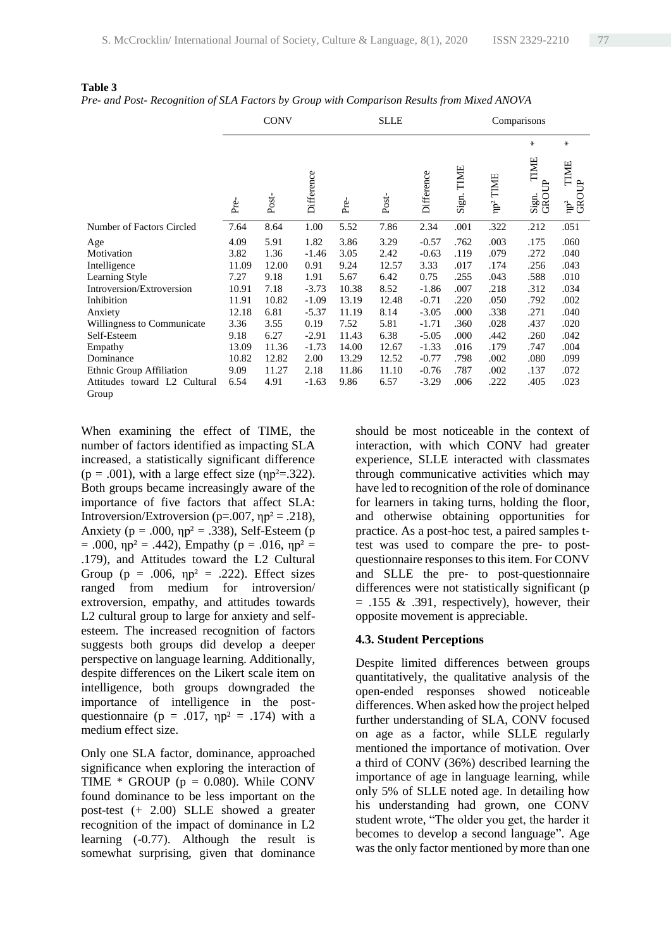|                                                                                                                                                                                |                                                                                            | <b>CONV</b>                                                                              |                                                                                                        |                                                                                            | <b>SLLE</b>                                                                              |                                                                                                                 | Comparisons                                                                          |                                                                                      |                                                                                      |                                                                                      |  |  |
|--------------------------------------------------------------------------------------------------------------------------------------------------------------------------------|--------------------------------------------------------------------------------------------|------------------------------------------------------------------------------------------|--------------------------------------------------------------------------------------------------------|--------------------------------------------------------------------------------------------|------------------------------------------------------------------------------------------|-----------------------------------------------------------------------------------------------------------------|--------------------------------------------------------------------------------------|--------------------------------------------------------------------------------------|--------------------------------------------------------------------------------------|--------------------------------------------------------------------------------------|--|--|
|                                                                                                                                                                                |                                                                                            |                                                                                          |                                                                                                        |                                                                                            |                                                                                          |                                                                                                                 |                                                                                      |                                                                                      | $\chi$                                                                               | ∗                                                                                    |  |  |
|                                                                                                                                                                                | Pre-                                                                                       | Post-                                                                                    | Difference                                                                                             | Pre-                                                                                       | $\rm Post$                                                                               | Difference                                                                                                      | TIME<br>Sign.                                                                        | TIME<br>$\mathbb{P}^2$                                                               | TIME<br>Sign. T<br>GROUP                                                             | TIME<br>GROUP<br>$\mathrm{np}^2$                                                     |  |  |
| Number of Factors Circled                                                                                                                                                      | 7.64                                                                                       | 8.64                                                                                     | 1.00                                                                                                   | 5.52                                                                                       | 7.86                                                                                     | 2.34                                                                                                            | .001                                                                                 | .322                                                                                 | .212                                                                                 | .051                                                                                 |  |  |
| Age<br>Motivation<br>Intelligence<br>Learning Style<br>Introversion/Extroversion<br>Inhibition<br>Anxiety<br>Willingness to Communicate<br>Self-Esteem<br>Empathy<br>Dominance | 4.09<br>3.82<br>11.09<br>7.27<br>10.91<br>11.91<br>12.18<br>3.36<br>9.18<br>13.09<br>10.82 | 5.91<br>1.36<br>12.00<br>9.18<br>7.18<br>10.82<br>6.81<br>3.55<br>6.27<br>11.36<br>12.82 | 1.82<br>$-1.46$<br>0.91<br>1.91<br>$-3.73$<br>$-1.09$<br>$-5.37$<br>0.19<br>$-2.91$<br>$-1.73$<br>2.00 | 3.86<br>3.05<br>9.24<br>5.67<br>10.38<br>13.19<br>11.19<br>7.52<br>11.43<br>14.00<br>13.29 | 3.29<br>2.42<br>12.57<br>6.42<br>8.52<br>12.48<br>8.14<br>5.81<br>6.38<br>12.67<br>12.52 | $-0.57$<br>$-0.63$<br>3.33<br>0.75<br>$-1.86$<br>$-0.71$<br>$-3.05$<br>$-1.71$<br>$-5.05$<br>$-1.33$<br>$-0.77$ | .762<br>.119<br>.017<br>.255<br>.007<br>.220<br>.000<br>.360<br>.000<br>.016<br>.798 | .003<br>.079<br>.174<br>.043<br>.218<br>.050<br>.338<br>.028<br>.442<br>.179<br>.002 | .175<br>.272<br>.256<br>.588<br>.312<br>.792<br>.271<br>.437<br>.260<br>.747<br>.080 | .060<br>.040<br>.043<br>.010<br>.034<br>.002<br>.040<br>.020<br>.042<br>.004<br>.099 |  |  |
| Ethnic Group Affiliation<br>Attitudes toward L2 Cultural<br>Group                                                                                                              | 9.09<br>6.54                                                                               | 11.27<br>4.91                                                                            | 2.18<br>$-1.63$                                                                                        | 11.86<br>9.86                                                                              | 11.10<br>6.57                                                                            | $-0.76$<br>$-3.29$                                                                                              | .787<br>.006                                                                         | .002<br>.222                                                                         | .137<br>.405                                                                         | .072<br>.023                                                                         |  |  |

**Table 3** *Pre- and Post- Recognition of SLA Factors by Group with Comparison Results from Mixed ANOVA*

When examining the effect of TIME, the number of factors identified as impacting SLA increased, a statistically significant difference  $(p = .001)$ , with a large effect size  $(np^2 = .322)$ . Both groups became increasingly aware of the importance of five factors that affect SLA: Introversion/Extroversion ( $p=.007$ ,  $np^2=.218$ ), Anxiety ( $p = .000$ ,  $np^2 = .338$ ), Self-Esteem ( $p$  $= .000$ ,  $np^2 = .442$ ), Empathy ( $p = .016$ ,  $np^2 =$ .179), and Attitudes toward the L2 Cultural Group ( $p = .006$ ,  $np^2 = .222$ ). Effect sizes ranged from medium for introversion/ extroversion, empathy, and attitudes towards L2 cultural group to large for anxiety and selfesteem. The increased recognition of factors suggests both groups did develop a deeper perspective on language learning. Additionally, despite differences on the Likert scale item on intelligence, both groups downgraded the importance of intelligence in the postquestionnaire ( $p = .017$ ,  $np^2 = .174$ ) with a medium effect size.

Only one SLA factor, dominance, approached significance when exploring the interaction of TIME  $*$  GROUP ( $p = 0.080$ ). While CONV found dominance to be less important on the post-test (+ 2.00) SLLE showed a greater recognition of the impact of dominance in L2 learning (-0.77). Although the result is somewhat surprising, given that dominance should be most noticeable in the context of interaction, with which CONV had greater experience, SLLE interacted with classmates through communicative activities which may have led to recognition of the role of dominance for learners in taking turns, holding the floor, and otherwise obtaining opportunities for practice. As a post-hoc test, a paired samples ttest was used to compare the pre- to postquestionnaire responses to this item. For CONV and SLLE the pre- to post-questionnaire differences were not statistically significant (p  $= .155 \& .391$ , respectively), however, their opposite movement is appreciable.

#### **4.3. Student Perceptions**

Despite limited differences between groups quantitatively, the qualitative analysis of the open-ended responses showed noticeable differences. When asked how the project helped further understanding of SLA, CONV focused on age as a factor, while SLLE regularly mentioned the importance of motivation. Over a third of CONV (36%) described learning the importance of age in language learning, while only 5% of SLLE noted age. In detailing how his understanding had grown, one CONV student wrote, "The older you get, the harder it becomes to develop a second language". Age was the only factor mentioned by more than one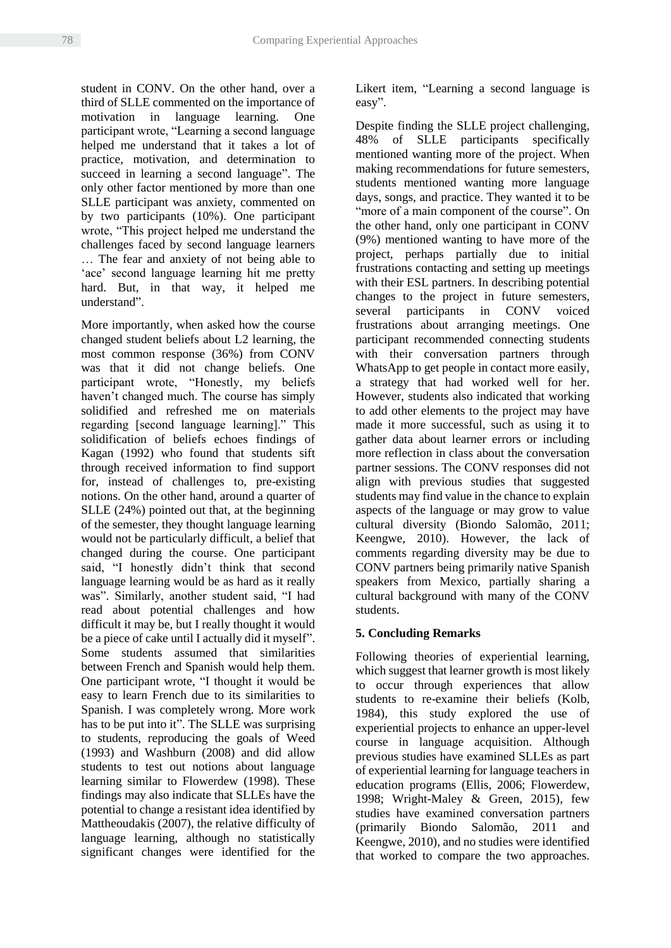student in CONV. On the other hand, over a third of SLLE commented on the importance of motivation in language learning. One participant wrote, "Learning a second language helped me understand that it takes a lot of practice, motivation, and determination to succeed in learning a second language". The only other factor mentioned by more than one SLLE participant was anxiety, commented on by two participants (10%). One participant wrote, "This project helped me understand the challenges faced by second language learners … The fear and anxiety of not being able to 'ace' second language learning hit me pretty hard. But, in that way, it helped me understand".

More importantly, when asked how the course changed student beliefs about L2 learning, the most common response (36%) from CONV was that it did not change beliefs. One participant wrote, "Honestly, my beliefs haven't changed much. The course has simply solidified and refreshed me on materials regarding [second language learning]." This solidification of beliefs echoes findings of Kagan (1992) who found that students sift through received information to find support for, instead of challenges to, pre-existing notions. On the other hand, around a quarter of SLLE (24%) pointed out that, at the beginning of the semester, they thought language learning would not be particularly difficult, a belief that changed during the course. One participant said, "I honestly didn't think that second language learning would be as hard as it really was". Similarly, another student said, "I had read about potential challenges and how difficult it may be, but I really thought it would be a piece of cake until I actually did it myself". Some students assumed that similarities between French and Spanish would help them. One participant wrote, "I thought it would be easy to learn French due to its similarities to Spanish. I was completely wrong. More work has to be put into it". The SLLE was surprising to students, reproducing the goals of Weed (1993) and Washburn (2008) and did allow students to test out notions about language learning similar to Flowerdew (1998). These findings may also indicate that SLLEs have the potential to change a resistant idea identified by Mattheoudakis (2007), the relative difficulty of language learning, although no statistically significant changes were identified for the

Likert item, "Learning a second language is easy".

Despite finding the SLLE project challenging, 48% of SLLE participants specifically mentioned wanting more of the project. When making recommendations for future semesters, students mentioned wanting more language days, songs, and practice. They wanted it to be "more of a main component of the course". On the other hand, only one participant in CONV (9%) mentioned wanting to have more of the project, perhaps partially due to initial frustrations contacting and setting up meetings with their ESL partners. In describing potential changes to the project in future semesters, several participants in CONV voiced frustrations about arranging meetings. One participant recommended connecting students with their conversation partners through WhatsApp to get people in contact more easily, a strategy that had worked well for her. However, students also indicated that working to add other elements to the project may have made it more successful, such as using it to gather data about learner errors or including more reflection in class about the conversation partner sessions. The CONV responses did not align with previous studies that suggested students may find value in the chance to explain aspects of the language or may grow to value cultural diversity (Biondo Salomão, 2011; Keengwe, 2010). However, the lack of comments regarding diversity may be due to CONV partners being primarily native Spanish speakers from Mexico, partially sharing a cultural background with many of the CONV students.

# **5. Concluding Remarks**

Following theories of experiential learning, which suggest that learner growth is most likely to occur through experiences that allow students to re-examine their beliefs (Kolb, 1984), this study explored the use of experiential projects to enhance an upper-level course in language acquisition. Although previous studies have examined SLLEs as part of experiential learning for language teachers in education programs (Ellis, 2006; Flowerdew, 1998; Wright-Maley & Green, 2015), few studies have examined conversation partners (primarily Biondo Salomão, 2011 and Keengwe, 2010), and no studies were identified that worked to compare the two approaches.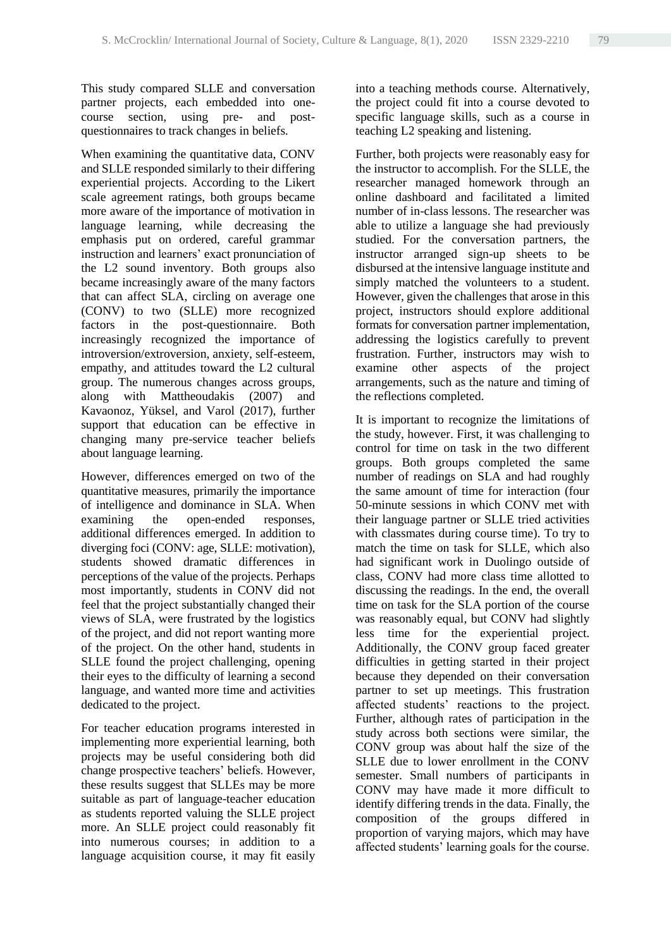This study compared SLLE and conversation partner projects, each embedded into onecourse section, using pre- and postquestionnaires to track changes in beliefs.

When examining the quantitative data, CONV and SLLE responded similarly to their differing experiential projects. According to the Likert scale agreement ratings, both groups became more aware of the importance of motivation in language learning, while decreasing the emphasis put on ordered, careful grammar instruction and learners' exact pronunciation of the L2 sound inventory. Both groups also became increasingly aware of the many factors that can affect SLA, circling on average one (CONV) to two (SLLE) more recognized factors in the post-questionnaire. Both increasingly recognized the importance of introversion/extroversion, anxiety, self-esteem, empathy, and attitudes toward the L2 cultural group. The numerous changes across groups, along with Mattheoudakis (2007) and Kavaonoz, Yüksel, and Varol (2017), further support that education can be effective in changing many pre-service teacher beliefs about language learning.

However, differences emerged on two of the quantitative measures, primarily the importance of intelligence and dominance in SLA. When examining the open-ended responses, additional differences emerged. In addition to diverging foci (CONV: age, SLLE: motivation), students showed dramatic differences in perceptions of the value of the projects. Perhaps most importantly, students in CONV did not feel that the project substantially changed their views of SLA, were frustrated by the logistics of the project, and did not report wanting more of the project. On the other hand, students in SLLE found the project challenging, opening their eyes to the difficulty of learning a second language, and wanted more time and activities dedicated to the project.

For teacher education programs interested in implementing more experiential learning, both projects may be useful considering both did change prospective teachers' beliefs. However, these results suggest that SLLEs may be more suitable as part of language-teacher education as students reported valuing the SLLE project more. An SLLE project could reasonably fit into numerous courses; in addition to a language acquisition course, it may fit easily

into a teaching methods course. Alternatively, the project could fit into a course devoted to specific language skills, such as a course in teaching L2 speaking and listening.

Further, both projects were reasonably easy for the instructor to accomplish. For the SLLE, the researcher managed homework through an online dashboard and facilitated a limited number of in-class lessons. The researcher was able to utilize a language she had previously studied. For the conversation partners, the instructor arranged sign-up sheets to be disbursed at the intensive language institute and simply matched the volunteers to a student. However, given the challenges that arose in this project, instructors should explore additional formats for conversation partner implementation, addressing the logistics carefully to prevent frustration. Further, instructors may wish to examine other aspects of the project arrangements, such as the nature and timing of the reflections completed.

It is important to recognize the limitations of the study, however. First, it was challenging to control for time on task in the two different groups. Both groups completed the same number of readings on SLA and had roughly the same amount of time for interaction (four 50-minute sessions in which CONV met with their language partner or SLLE tried activities with classmates during course time). To try to match the time on task for SLLE, which also had significant work in Duolingo outside of class, CONV had more class time allotted to discussing the readings. In the end, the overall time on task for the SLA portion of the course was reasonably equal, but CONV had slightly less time for the experiential project. Additionally, the CONV group faced greater difficulties in getting started in their project because they depended on their conversation partner to set up meetings. This frustration affected students' reactions to the project. Further, although rates of participation in the study across both sections were similar, the CONV group was about half the size of the SLLE due to lower enrollment in the CONV semester. Small numbers of participants in CONV may have made it more difficult to identify differing trends in the data. Finally, the composition of the groups differed in proportion of varying majors, which may have affected students' learning goals for the course.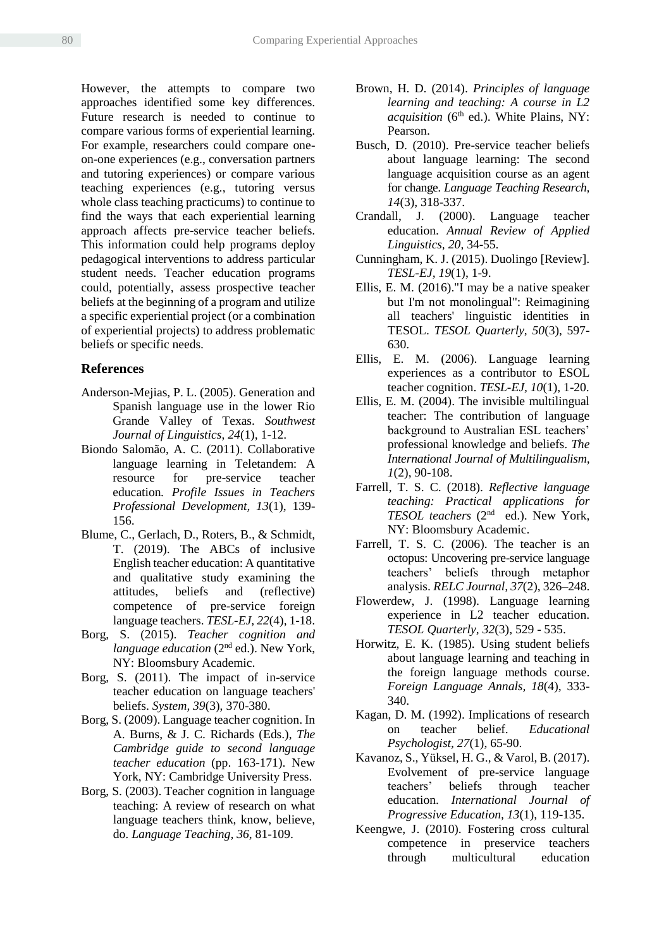However, the attempts to compare two approaches identified some key differences. Future research is needed to continue to compare various forms of experiential learning. For example, researchers could compare oneon-one experiences (e.g., conversation partners and tutoring experiences) or compare various teaching experiences (e.g., tutoring versus whole class teaching practicums) to continue to find the ways that each experiential learning approach affects pre-service teacher beliefs. This information could help programs deploy pedagogical interventions to address particular student needs. Teacher education programs could, potentially, assess prospective teacher beliefs at the beginning of a program and utilize a specific experiential project (or a combination of experiential projects) to address problematic beliefs or specific needs.

#### **References**

- Anderson-Mejias, P. L. (2005). Generation and Spanish language use in the lower Rio Grande Valley of Texas. *Southwest Journal of Linguistics*, *24*(1), 1-12.
- Biondo Salomão, A. C. (2011). Collaborative language learning in Teletandem: A resource for pre-service teacher education*. Profile Issues in Teachers Professional Development, 13*(1), 139- 156.
- Blume, C., Gerlach, D., Roters, B., & Schmidt, T. (2019). The ABCs of inclusive English teacher education: A quantitative and qualitative study examining the attitudes, beliefs and (reflective) competence of pre-service foreign language teachers. *TESL-EJ, 22*(4), 1-18.
- Borg, S. (2015). *Teacher cognition and language education* (2<sup>nd</sup> ed.). New York, NY: Bloomsbury Academic.
- Borg, S. (2011). The impact of in-service teacher education on language teachers' beliefs. *System, 39*(3), 370-380.
- Borg, S. (2009). Language teacher cognition. In A. Burns, & J. C. Richards (Eds.), *The Cambridge guide to second language teacher education* (pp. 163-171). New York, NY: Cambridge University Press.
- Borg, S. (2003). Teacher cognition in language teaching: A review of research on what language teachers think, know, believe, do. *Language Teaching, 36*, 81-109.
- Brown, H. D. (2014). *Principles of language learning and teaching: A course in L2 acquisition* (6<sup>th</sup> ed.). White Plains, NY: Pearson.
- Busch, D. (2010). Pre-service teacher beliefs about language learning: The second language acquisition course as an agent for change*. Language Teaching Research, 14*(3), 318-337.
- Crandall, J. (2000). Language teacher education. *Annual Review of Applied Linguistics, 20*, 34-55.
- Cunningham, K. J. (2015). Duolingo [Review]. *TESL-EJ, 19*(1), 1-9.
- Ellis, E. M. (2016)."I may be a native speaker but I'm not monolingual": Reimagining all teachers' linguistic identities in TESOL. *TESOL Quarterly, 50*(3), 597- 630.
- Ellis, E. M. (2006). Language learning experiences as a contributor to ESOL teacher cognition. *TESL-EJ, 10*(1), 1-20.
- Ellis, E. M. (2004). The invisible multilingual teacher: The contribution of language background to Australian ESL teachers' professional knowledge and beliefs. *The International Journal of Multilingualism, 1*(2), 90-108.
- Farrell, T. S. C. (2018). *Reflective language teaching: Practical applications for TESOL teachers* (2nd ed.). New York, NY: Bloomsbury Academic.
- Farrell, T. S. C. (2006). The teacher is an octopus: Uncovering pre-service language teachers' beliefs through metaphor analysis. *RELC Journal, 37*(2), 326–248.
- Flowerdew, J. (1998). Language learning experience in L2 teacher education. *TESOL Quarterly, 32*(3), 529 - 535.
- Horwitz, E. K. (1985). Using student beliefs about language learning and teaching in the foreign language methods course. *Foreign Language Annals, 18*(4), 333- 340.
- Kagan, D. M. (1992). Implications of research on teacher belief. *Educational Psychologist, 27*(1), 65-90.
- Kavanoz, S., Yüksel, H. G., & Varol, B. (2017). Evolvement of pre-service language teachers' beliefs through teacher education. *International Journal of Progressive Education, 13*(1), 119-135.
- Keengwe, J. (2010). Fostering cross cultural competence in preservice teachers through multicultural education